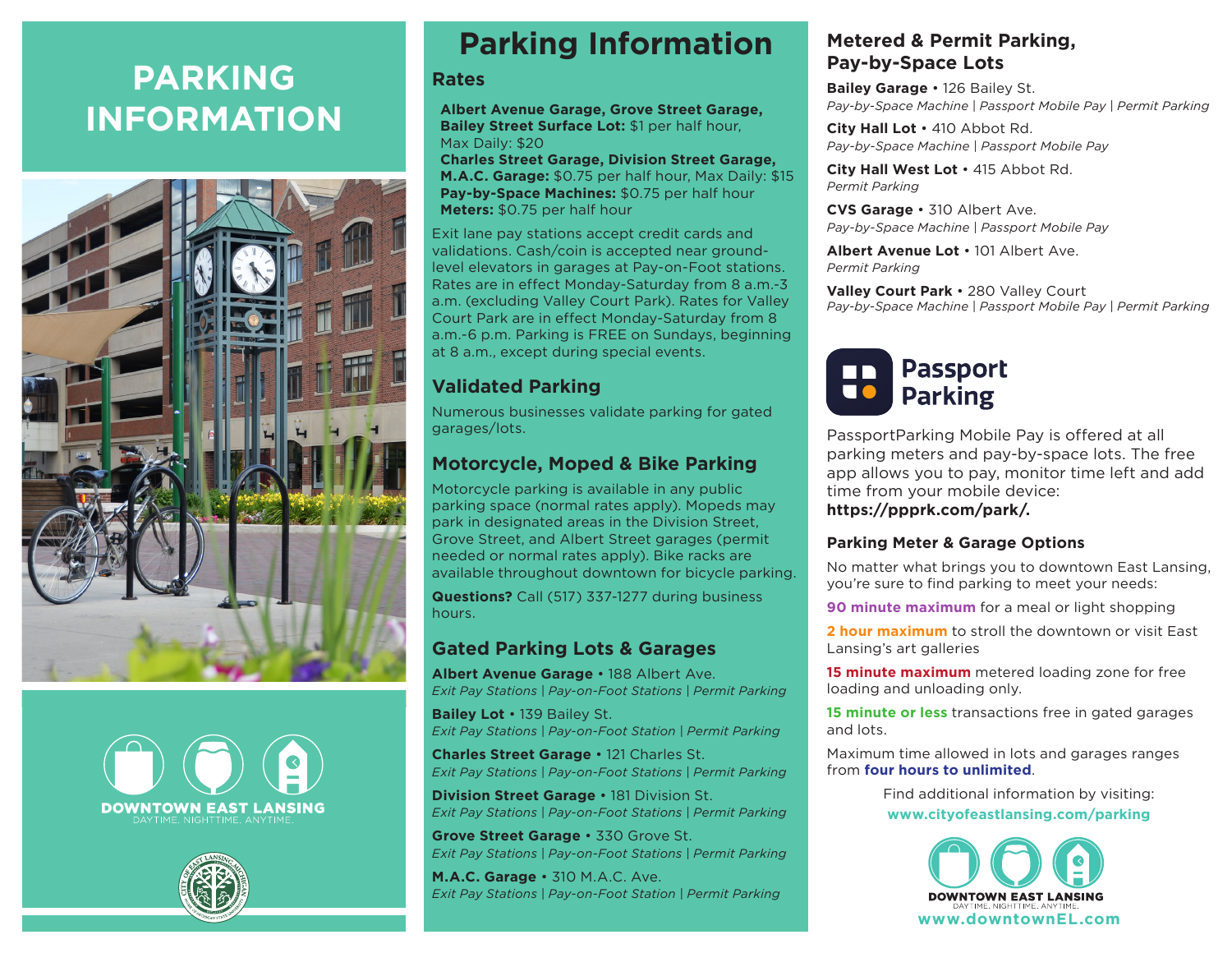# **PARKING INFORMATION**







## **Parking Information**

#### **Rates**

 **Albert Avenue Garage, Grove Street Garage, Bailey Street Surface Lot:** \$1 per half hour, Max Daily: \$20

 **Charles Street Garage, Division Street Garage, M.A.C. Garage:** \$0.75 per half hour, Max Daily: \$15 **Pay-by-Space Machines:** \$0.75 per half hour **Meters:** \$0.75 per half hour

Exit lane pay stations accept credit cards and validations. Cash/coin is accepted near groundlevel elevators in garages at Pay-on-Foot stations. Rates are in effect Monday-Saturday from 8 a.m.-3 a.m. (excluding Valley Court Park). Rates for Valley Court Park are in effect Monday-Saturday from 8 a.m.-6 p.m. Parking is FREE on Sundays, beginning at 8 a.m., except during special events.

#### **Validated Parking**

Numerous businesses validate parking for gated garages/lots.

#### **Motorcycle, Moped & Bike Parking**

Motorcycle parking is available in any public parking space (normal rates apply). Mopeds may park in designated areas in the Division Street, Grove Street, and Albert Street garages (permit needed or normal rates apply). Bike racks are available throughout downtown for bicycle parking.

**Questions?** Call (517) 337-1277 during business hours.

### **Gated Parking Lots & Garages**

**Albert Avenue Garage** • 188 Albert Ave. *Exit Pay Stations | Pay-on-Foot Stations | Permit Parking*

**Bailey Lot** • 139 Bailey St. *Exit Pay Stations | Pay-on-Foot Station | Permit Parking*

**Charles Street Garage** • 121 Charles St. *Exit Pay Stations | Pay-on-Foot Stations | Permit Parking*

**Division Street Garage** • 181 Division St. *Exit Pay Stations | Pay-on-Foot Stations | Permit Parking*

**Grove Street Garage** • 330 Grove St. *Exit Pay Stations | Pay-on-Foot Stations | Permit Parking*

**M.A.C. Garage** • 310 M.A.C. Ave. *Exit Pay Stations | Pay-on-Foot Station | Permit Parking*

### **Metered & Permit Parking, Pay-by-Space Lots**

**Bailey Garage** • 126 Bailey St. *Pay-by-Space Machine | Passport Mobile Pay | Permit Parking*

**City Hall Lot** • 410 Abbot Rd. *Pay-by-Space Machine | Passport Mobile Pay*

**City Hall West Lot** • 415 Abbot Rd. *Permit Parking*

**CVS Garage** • 310 Albert Ave. *Pay-by-Space Machine | Passport Mobile Pay*

**Albert Avenue Lot** • 101 Albert Ave. *Permit Parking*

**Valley Court Park** • 280 Valley Court *Pay-by-Space Machine | Passport Mobile Pay | Permit Parking*



PassportParking Mobile Pay is offered at all parking meters and pay-by-space lots. The free app allows you to pay, monitor time left and add time from your mobile device: **https://ppprk.com/park/.**

#### **Parking Meter & Garage Options**

No matter what brings you to downtown East Lansing, you're sure to find parking to meet your needs:

**90 minute maximum** for a meal or light shopping

**2 hour maximum** to stroll the downtown or visit East Lansing's art galleries

**15 minute maximum** metered loading zone for free loading and unloading only.

**15 minute or less** transactions free in gated garages and lots.

Maximum time allowed in lots and garages ranges from **four hours to unlimited**.

> Find additional information by visiting: **www.cityofeastlansing.com/parking**